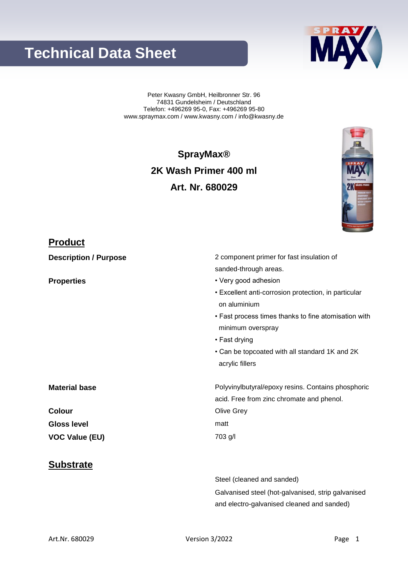| Art.Nr. 680029 | Version 3/2022 | Page 1 |
|----------------|----------------|--------|
|                |                |        |

# **Technical Data Sheet**

Peter Kwasny GmbH, Heilbronner Str. 96 74831 Gundelsheim / Deutschland Telefon: +496269 95-0, Fax: +496269 95-80 www.spraymax.com / www.kwasny.com / info@kwasny.de

# **SprayMax® 2K Wash Primer 400 ml Art. Nr. 680029**

**Description / Purpose** 2 component primer for fast insulation of sanded-through areas.

**Properties** • Very good adhesion

Steel (cleaned and sanded)

- Excellent anti-corrosion protection, in particular on aluminium
- Fast process times thanks to fine atomisation with minimum overspray
- Fast drying
- Can be topcoated with all standard 1K and 2K acrylic fillers

**Material base** Material **hase** Polyvinylbutyral/epoxy resins. Contains phosphoric acid. Free from zinc chromate and phenol. **Colour** Olive Grey **Gloss level** matt **VOC Value (EU)** 703 g/l

Galvanised steel (hot-galvanised, strip galvanised

and electro-galvanised cleaned and sanded)

## **Substrate**

**Product**



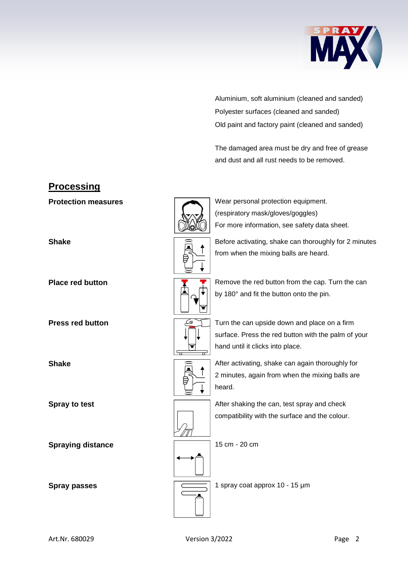

Aluminium, soft aluminium (cleaned and sanded) Polyester surfaces (cleaned and sanded) Old paint and factory paint (cleaned and sanded)

The damaged area must be dry and free of grease and dust and all rust needs to be removed.

| <b>Protection measures</b> |   | Wear personal protection equipment.<br>(respiratory mask/gloves/goggles)                                                                |
|----------------------------|---|-----------------------------------------------------------------------------------------------------------------------------------------|
|                            |   | For more information, see safety data sheet.                                                                                            |
| <b>Shake</b>               |   | Before activating, shake can thoroughly for 2 minutes<br>from when the mixing balls are heard.                                          |
| <b>Place red button</b>    |   | Remove the red button from the cap. Turn the can<br>by 180° and fit the button onto the pin.                                            |
| <b>Press red button</b>    | 군 | Turn the can upside down and place on a firm<br>surface. Press the red button with the palm of your<br>hand until it clicks into place. |
| <b>Shake</b>               |   | After activating, shake can again thoroughly for<br>2 minutes, again from when the mixing balls are<br>heard.                           |
| <b>Spray to test</b>       |   | After shaking the can, test spray and check<br>compatibility with the surface and the colour.                                           |
| <b>Spraying distance</b>   |   | 15 cm - 20 cm                                                                                                                           |
| <b>Spray passes</b>        |   | 1 spray coat approx 10 - 15 µm                                                                                                          |

**Processing**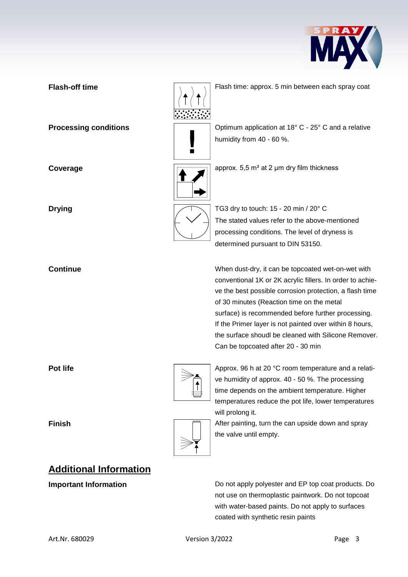

# **Flash-off time** Flash time: approx. 5 min between each spray coat **Processing conditions**  $\sqrt{2}$  Optimum application at 18° C - 25° C and a relative humidity from 40 - 60 %.  $\blacksquare$ **Coverage a Coverage a Coverage approx.** 5,5 m<sup>2</sup> at 2 μm dry film thickness **Drying** TG3 dry to touch: 15 - 20 min / 20° C The stated values refer to the above-mentioned processing conditions. The level of dryness is determined pursuant to DIN 53150. **Continue** When dust-dry, it can be topcoated wet-on-wet with conventional 1K or 2K acrylic fillers. In order to achieve the best possible corrosion protection, a flash time of 30 minutes (Reaction time on the metal surface) is recommended before further processing. If the Primer layer is not painted over within 8 hours, the surface shoudl be cleaned with Silicone Remover. Can be topcoated after 20 - 30 min **Pot life Pot life** Approx. 96 h at 20 °C room temperature and a relative humidity of approx. 40 - 50 %. The processing time depends on the ambient temperature. Higher temperatures reduce the pot life, lower temperatures will prolong it.



**Finish Finish Finish Exercise 2018** After painting, turn the can upside down and spray the valve until empty.

# **Additional Information**

**Important Information Do not apply polyester and EP top coat products. Do** not use on thermoplastic paintwork. Do not topcoat with water-based paints. Do not apply to surfaces coated with synthetic resin paints